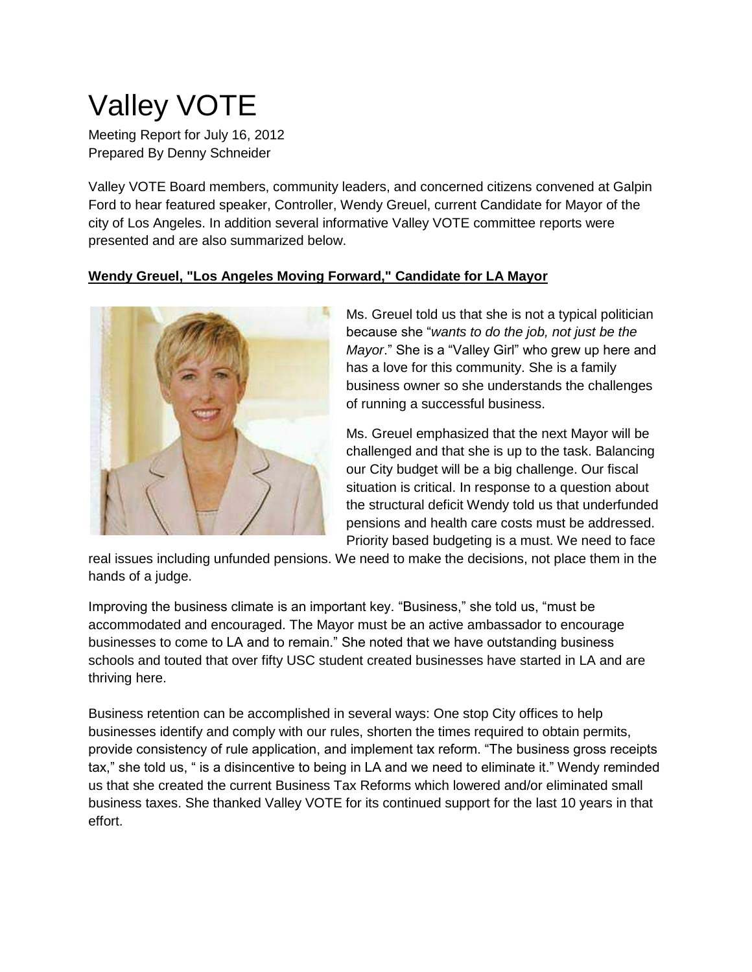# Valley VOTE

Meeting Report for July 16, 2012 Prepared By Denny Schneider

Valley VOTE Board members, community leaders, and concerned citizens convened at Galpin Ford to hear featured speaker, Controller, Wendy Greuel, current Candidate for Mayor of the city of Los Angeles. In addition several informative Valley VOTE committee reports were presented and are also summarized below.

### **Wendy Greuel, "Los Angeles Moving Forward," Candidate for LA Mayor**



Ms. Greuel told us that she is not a typical politician because she "*wants to do the job, not just be the Mayor*." She is a "Valley Girl" who grew up here and has a love for this community. She is a family business owner so she understands the challenges of running a successful business.

Ms. Greuel emphasized that the next Mayor will be challenged and that she is up to the task. Balancing our City budget will be a big challenge. Our fiscal situation is critical. In response to a question about the structural deficit Wendy told us that underfunded pensions and health care costs must be addressed. Priority based budgeting is a must. We need to face

real issues including unfunded pensions. We need to make the decisions, not place them in the hands of a judge.

Improving the business climate is an important key. "Business," she told us, "must be accommodated and encouraged. The Mayor must be an active ambassador to encourage businesses to come to LA and to remain." She noted that we have outstanding business schools and touted that over fifty USC student created businesses have started in LA and are thriving here.

Business retention can be accomplished in several ways: One stop City offices to help businesses identify and comply with our rules, shorten the times required to obtain permits, provide consistency of rule application, and implement tax reform. "The business gross receipts tax," she told us, " is a disincentive to being in LA and we need to eliminate it." Wendy reminded us that she created the current Business Tax Reforms which lowered and/or eliminated small business taxes. She thanked Valley VOTE for its continued support for the last 10 years in that effort.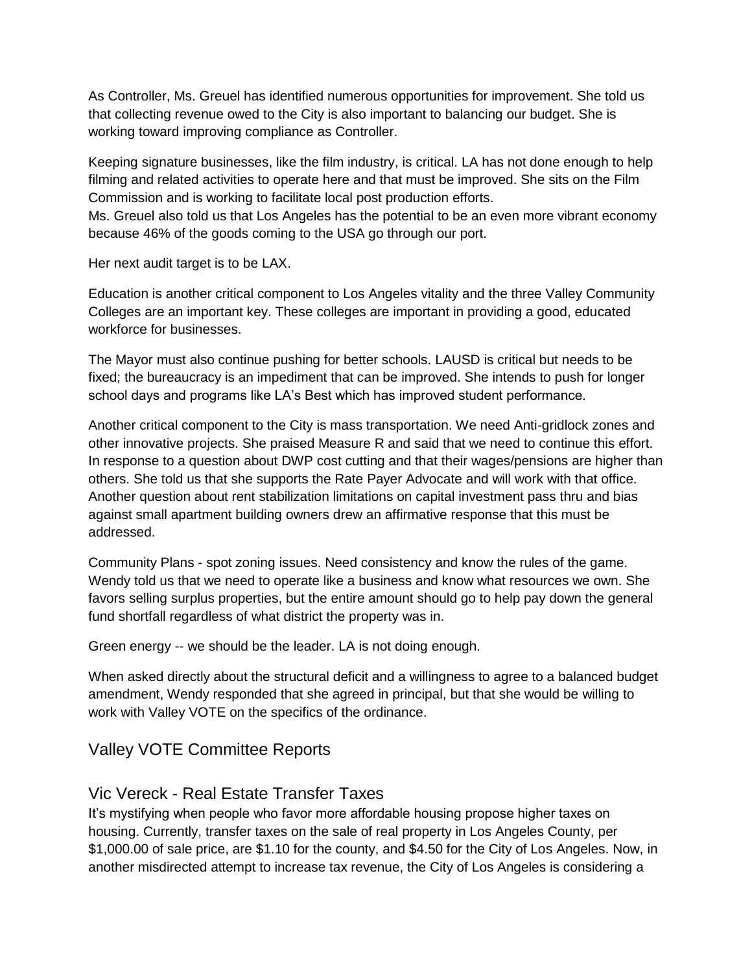As Controller, Ms. Greuel has identified numerous opportunities for improvement. She told us that collecting revenue owed to the City is also important to balancing our budget. She is working toward improving compliance as Controller.

Keeping signature businesses, like the film industry, is critical. LA has not done enough to help filming and related activities to operate here and that must be improved. She sits on the Film Commission and is working to facilitate local post production efforts.

Ms. Greuel also told us that Los Angeles has the potential to be an even more vibrant economy because 46% of the goods coming to the USA go through our port.

Her next audit target is to be LAX.

Education is another critical component to Los Angeles vitality and the three Valley Community Colleges are an important key. These colleges are important in providing a good, educated workforce for businesses.

The Mayor must also continue pushing for better schools. LAUSD is critical but needs to be fixed; the bureaucracy is an impediment that can be improved. She intends to push for longer school days and programs like LA's Best which has improved student performance.

Another critical component to the City is mass transportation. We need Anti-gridlock zones and other innovative projects. She praised Measure R and said that we need to continue this effort. In response to a question about DWP cost cutting and that their wages/pensions are higher than others. She told us that she supports the Rate Payer Advocate and will work with that office. Another question about rent stabilization limitations on capital investment pass thru and bias against small apartment building owners drew an affirmative response that this must be addressed.

Community Plans - spot zoning issues. Need consistency and know the rules of the game. Wendy told us that we need to operate like a business and know what resources we own. She favors selling surplus properties, but the entire amount should go to help pay down the general fund shortfall regardless of what district the property was in.

Green energy -- we should be the leader. LA is not doing enough.

When asked directly about the structural deficit and a willingness to agree to a balanced budget amendment, Wendy responded that she agreed in principal, but that she would be willing to work with Valley VOTE on the specifics of the ordinance.

# Valley VOTE Committee Reports

# Vic Vereck - Real Estate Transfer Taxes

It's mystifying when people who favor more affordable housing propose higher taxes on housing. Currently, transfer taxes on the sale of real property in Los Angeles County, per \$1,000.00 of sale price, are \$1.10 for the county, and \$4.50 for the City of Los Angeles. Now, in another misdirected attempt to increase tax revenue, the City of Los Angeles is considering a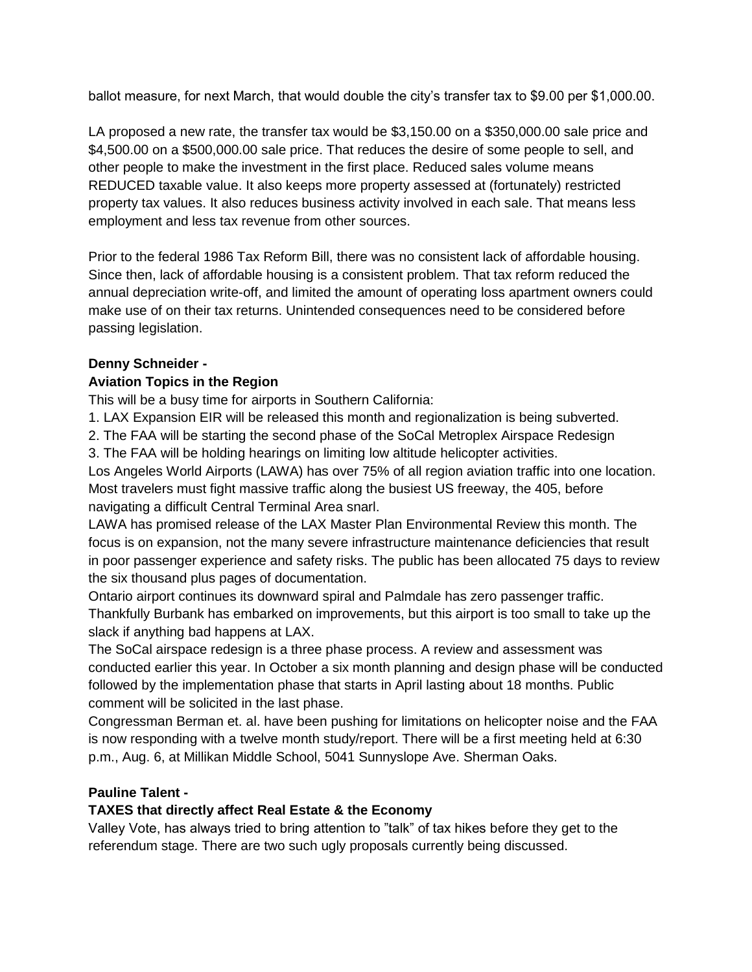ballot measure, for next March, that would double the city's transfer tax to \$9.00 per \$1,000.00.

LA proposed a new rate, the transfer tax would be \$3,150.00 on a \$350,000.00 sale price and \$4,500.00 on a \$500,000.00 sale price. That reduces the desire of some people to sell, and other people to make the investment in the first place. Reduced sales volume means REDUCED taxable value. It also keeps more property assessed at (fortunately) restricted property tax values. It also reduces business activity involved in each sale. That means less employment and less tax revenue from other sources.

Prior to the federal 1986 Tax Reform Bill, there was no consistent lack of affordable housing. Since then, lack of affordable housing is a consistent problem. That tax reform reduced the annual depreciation write-off, and limited the amount of operating loss apartment owners could make use of on their tax returns. Unintended consequences need to be considered before passing legislation.

### **Denny Schneider -**

## **Aviation Topics in the Region**

This will be a busy time for airports in Southern California:

1. LAX Expansion EIR will be released this month and regionalization is being subverted.

2. The FAA will be starting the second phase of the SoCal Metroplex Airspace Redesign

3. The FAA will be holding hearings on limiting low altitude helicopter activities.

Los Angeles World Airports (LAWA) has over 75% of all region aviation traffic into one location. Most travelers must fight massive traffic along the busiest US freeway, the 405, before navigating a difficult Central Terminal Area snarl.

LAWA has promised release of the LAX Master Plan Environmental Review this month. The focus is on expansion, not the many severe infrastructure maintenance deficiencies that result in poor passenger experience and safety risks. The public has been allocated 75 days to review the six thousand plus pages of documentation.

Ontario airport continues its downward spiral and Palmdale has zero passenger traffic. Thankfully Burbank has embarked on improvements, but this airport is too small to take up the slack if anything bad happens at LAX.

The SoCal airspace redesign is a three phase process. A review and assessment was conducted earlier this year. In October a six month planning and design phase will be conducted followed by the implementation phase that starts in April lasting about 18 months. Public comment will be solicited in the last phase.

Congressman Berman et. al. have been pushing for limitations on helicopter noise and the FAA is now responding with a twelve month study/report. There will be a first meeting held at 6:30 p.m., Aug. 6, at Millikan Middle School, 5041 Sunnyslope Ave. Sherman Oaks.

### **Pauline Talent -**

# **TAXES that directly affect Real Estate & the Economy**

Valley Vote, has always tried to bring attention to "talk" of tax hikes before they get to the referendum stage. There are two such ugly proposals currently being discussed.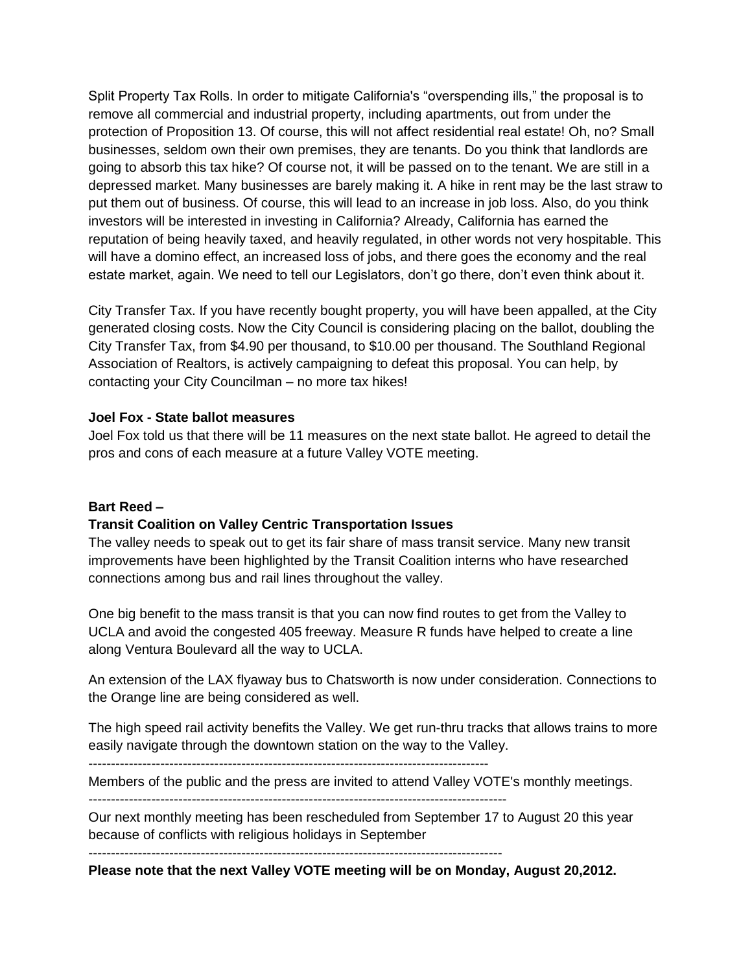Split Property Tax Rolls. In order to mitigate California's "overspending ills," the proposal is to remove all commercial and industrial property, including apartments, out from under the protection of Proposition 13. Of course, this will not affect residential real estate! Oh, no? Small businesses, seldom own their own premises, they are tenants. Do you think that landlords are going to absorb this tax hike? Of course not, it will be passed on to the tenant. We are still in a depressed market. Many businesses are barely making it. A hike in rent may be the last straw to put them out of business. Of course, this will lead to an increase in job loss. Also, do you think investors will be interested in investing in California? Already, California has earned the reputation of being heavily taxed, and heavily regulated, in other words not very hospitable. This will have a domino effect, an increased loss of jobs, and there goes the economy and the real estate market, again. We need to tell our Legislators, don't go there, don't even think about it.

City Transfer Tax. If you have recently bought property, you will have been appalled, at the City generated closing costs. Now the City Council is considering placing on the ballot, doubling the City Transfer Tax, from \$4.90 per thousand, to \$10.00 per thousand. The Southland Regional Association of Realtors, is actively campaigning to defeat this proposal. You can help, by contacting your City Councilman – no more tax hikes!

#### **Joel Fox - State ballot measures**

Joel Fox told us that there will be 11 measures on the next state ballot. He agreed to detail the pros and cons of each measure at a future Valley VOTE meeting.

#### **Bart Reed –**

#### **Transit Coalition on Valley Centric Transportation Issues**

The valley needs to speak out to get its fair share of mass transit service. Many new transit improvements have been highlighted by the Transit Coalition interns who have researched connections among bus and rail lines throughout the valley.

One big benefit to the mass transit is that you can now find routes to get from the Valley to UCLA and avoid the congested 405 freeway. Measure R funds have helped to create a line along Ventura Boulevard all the way to UCLA.

An extension of the LAX flyaway bus to Chatsworth is now under consideration. Connections to the Orange line are being considered as well.

The high speed rail activity benefits the Valley. We get run-thru tracks that allows trains to more easily navigate through the downtown station on the way to the Valley.

-----------------------------------------------------------------------------------------

Members of the public and the press are invited to attend Valley VOTE's monthly meetings.

---------------------------------------------------------------------------------------------

Our next monthly meeting has been rescheduled from September 17 to August 20 this year because of conflicts with religious holidays in September

--------------------------------------------------------------------------------------------

**Please note that the next Valley VOTE meeting will be on Monday, August 20,2012.**